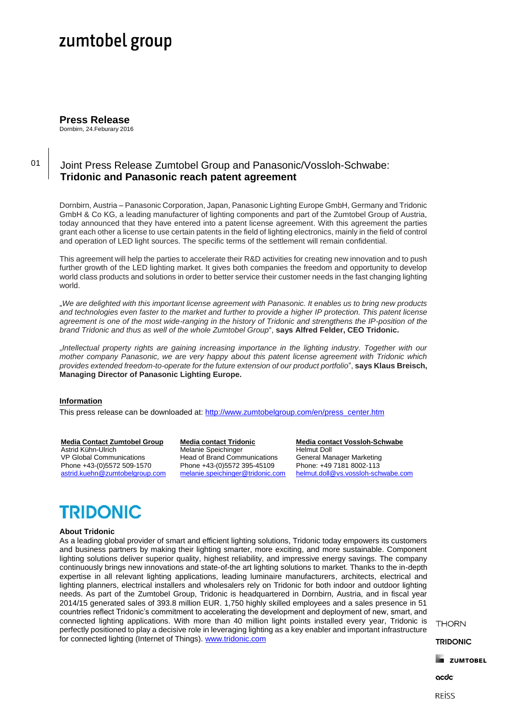# zumtobel group

**Press Release** Dornbirn, 24.Feburary 2016

01

### Joint Press Release Zumtobel Group and Panasonic/Vossloh-Schwabe: **Tridonic and Panasonic reach patent agreement**

Dornbirn, Austria – Panasonic Corporation, Japan, Panasonic Lighting Europe GmbH, Germany and Tridonic GmbH & Co KG, a leading manufacturer of lighting components and part of the Zumtobel Group of Austria, today announced that they have entered into a patent license agreement. With this agreement the parties grant each other a license to use certain patents in the field of lighting electronics, mainly in the field of control and operation of LED light sources. The specific terms of the settlement will remain confidential.

This agreement will help the parties to accelerate their R&D activities for creating new innovation and to push further growth of the LED lighting market. It gives both companies the freedom and opportunity to develop world class products and solutions in order to better service their customer needs in the fast changing lighting world.

"*We are delighted with this important license agreement with Panasonic. It enables us to bring new products and technologies even faster to the market and further to provide a higher IP protection. This patent license agreement is one of the most wide-ranging in the history of Tridonic and strengthens the IP-position of the brand Tridonic and thus as well of the whole Zumtobel Group*", **says Alfred Felder, CEO Tridonic.**

"*Intellectual property rights are gaining increasing importance in the lighting industry. Together with our mother company Panasonic, we are very happy about this patent license agreement with Tridonic which provides extended freedom-to-operate for the future extension of our product portfolio*", **says Klaus Breisch, Managing Director of Panasonic Lighting Europe.**

### **Information**

This press release can be downloaded at: [http://www.zumtobelgroup.com/en/press\\_center.htm](http://www.zumtobelgroup.com/en/press_center.htm)

#### **Media Contact Zumtobel Group**

Astrid Kühn-Ulrich VP Global Communications Phone +43-(0)5572 509-1570 [astrid.kuehn@zumtobelgroup.com](mailto:astrid.kuehn@zumtobelgroup.com)

#### **Media contact Tridonic** Melanie Speichinger

Head of Brand Communications Phone +43-(0)5572 395-45109 [melanie.speichinger@tridonic.com](mailto:melanie.speichinger@tridonic.com)

**Media contact Vossloh-Schwabe** Helmut Doll General Manager Marketing Phone: +49 7181 8002-113 [helmut.doll@vs.vossloh-schwabe.com](mailto:helmut.doll@vs.vossloh-schwabe.com)

# **TRIDONIC**

#### **About Tridonic**

As a leading global provider of smart and efficient lighting solutions, Tridonic today empowers its customers and business partners by making their lighting smarter, more exciting, and more sustainable. Component lighting solutions deliver superior quality, highest reliability, and impressive energy savings. The company continuously brings new innovations and state-of-the art lighting solutions to market. Thanks to the in-depth expertise in all relevant lighting applications, leading luminaire manufacturers, architects, electrical and lighting planners, electrical installers and wholesalers rely on Tridonic for both indoor and outdoor lighting needs. As part of the Zumtobel Group, Tridonic is headquartered in Dornbirn, Austria, and in fiscal year 2014/15 generated sales of 393.8 million EUR. 1,750 highly skilled employees and a sales presence in 51 countries reflect Tridonic's commitment to accelerating the development and deployment of new, smart, and connected lighting applications. With more than 40 million light points installed every year, Tridonic is perfectly positioned to play a decisive role in leveraging lighting as a key enabler and important infrastructure for connected lighting (Internet of Things). [www.tridonic.com](http://www.tridonic.com/)

**THORN** 

**TRIDONIC** 

**E ZUMTOBEL** 

acdc

**REISS**